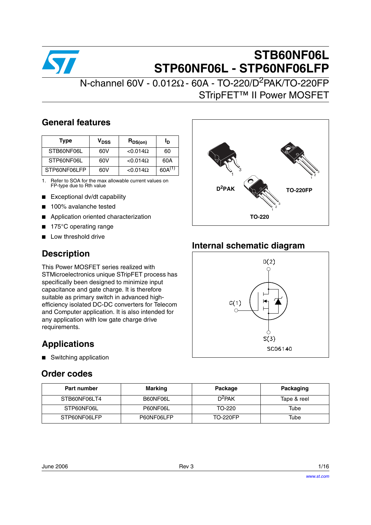

# **STB60NF06L STP60NF06L - STP60NF06LFP**

# $N$ -channel 60V - 0.012Ω - 60A - TO-220/D<sup>2</sup>PAK/TO-220FP STripFET™ II Power MOSFET

## **General features**

| <b>Type</b>  | V <sub>DSS</sub> | $R_{DS(on)}$     | סי          |
|--------------|------------------|------------------|-------------|
| STB60NF06L   | 60V              | $< 0.014 \Omega$ | 60          |
| STP60NF06L   | 60V              | $< 0.014 \Omega$ | 60A         |
| STP60NF06LFP | 60V              | $< 0.014 \Omega$ | $60A^{(1)}$ |

1. Refer to SOA for the max allowable current values on FP-type due to Rth value

- Exceptional dv/dt capability
- 100% avalanche tested
- Application oriented characterization
- 175°C operating range
- Low threshold drive

## **Description**

This Power MOSFET series realized with STMicroelectronics unique STripFET process has specifically been designed to minimize input capacitance and gate charge. It is therefore suitable as primary switch in advanced highefficiency isolated DC-DC converters for Telecom and Computer application. It is also intended for any application with low gate charge drive requirements.

## **Applications**

■ Switching application

## **Order codes**



## **Internal schematic diagram**



| <b>Part number</b> | <b>Marking</b> | Package            | Packaging   |
|--------------------|----------------|--------------------|-------------|
| STB60NF06LT4       | B60NF06L       | D <sup>2</sup> PAK | Tape & reel |
| STP60NF06L         | P60NF06L       | TO-220             | Tube        |
| STP60NF06LFP       | P60NF06LFP     | <b>TO-220FP</b>    | Tube        |

| June 2006 | Rev 3 | 1/16 |
|-----------|-------|------|
|           |       |      |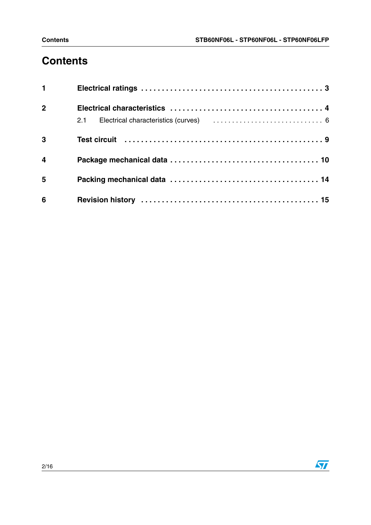# **Contents**

| $\mathbf 1$             |  |
|-------------------------|--|
| $\overline{2}$          |  |
|                         |  |
| $\overline{\mathbf{3}}$ |  |
| $\overline{4}$          |  |
| $5\phantom{1}$          |  |
| $6\phantom{1}6$         |  |

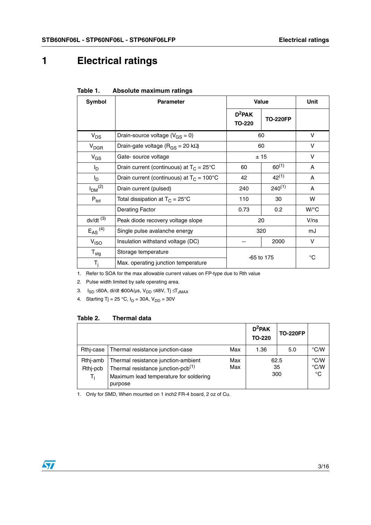# <span id="page-2-0"></span>**1 Electrical ratings**

| Symbol                         | <b>Parameter</b>                                   | <b>Value</b>        |                 | Unit        |
|--------------------------------|----------------------------------------------------|---------------------|-----------------|-------------|
|                                |                                                    | $D^2$ PAK<br>TO-220 | <b>TO-220FP</b> |             |
| $V_{DS}$                       | Drain-source voltage ( $V_{GS} = 0$ )              | 60                  |                 | v           |
| $V_{DGR}$                      | Drain-gate voltage ( $R_{GS}$ = 20 k $\Omega$ )    |                     | 60              | V           |
| $V_{GS}$                       | Gate- source voltage                               |                     | ± 15            | V           |
| l <sub>D</sub>                 | Drain current (continuous) at $T_C = 25^{\circ}C$  | 60                  | $60^{(1)}$      | A           |
| I <sub>D</sub>                 | Drain current (continuous) at $T_C = 100^{\circ}C$ | 42                  | $42^{(1)}$      | A           |
| I <sub>DM</sub> <sup>(2)</sup> | Drain current (pulsed)                             | 240                 | $240^{(1)}$     | A           |
| $P_{\text{tot}}$               | Total dissipation at $T_C = 25^{\circ}C$           | 110                 | 30              | w           |
|                                | <b>Derating Factor</b>                             | 0.73                | 0.2             | W/°C        |
| $dv/dt$ <sup>(3)</sup>         | Peak diode recovery voltage slope                  | 20                  |                 | V/ns        |
| $E_{AS}$ <sup>(4)</sup>        | Single pulse avalanche energy                      | 320                 |                 | mJ          |
| V <sub>ISO</sub>               | Insulation withstand voltage (DC)                  |                     | 2000            | V           |
| $T_{\text{stg}}$               | Storage temperature                                | $-65$ to 175        |                 | $^{\circ}C$ |
| $T_i$                          | Max. operating junction temperature                |                     |                 |             |

#### **Table 1. Absolute maximum ratings**

1. Refer to SOA for the max allowable current values on FP-type due to Rth value

2. Pulse width limited by safe operating area.

3. I<sub>SD</sub> ≤60A, di/dt **s**00A/µs, V<sub>DD</sub> ≤48V, Tj ≤T<sub>JMAX</sub>

4. Starting Tj = 25 °C,  $I_D$  = 30A,  $V_{DD}$  = 30V

### **Table 2. Thermal data**

|                               |                                                                                                                                            |            | $D^2$ PAK<br><b>TO-220</b> | <b>TO-220FP</b>   |                                       |
|-------------------------------|--------------------------------------------------------------------------------------------------------------------------------------------|------------|----------------------------|-------------------|---------------------------------------|
| Rthi-case                     | Thermal resistance junction-case                                                                                                           | Max        | 1.36                       | 5.0               | $\degree$ C/W                         |
| Rthi-amb<br>Rthj-pcb<br>$T_1$ | Thermal resistance junction-ambient<br>Thermal resistance junction-pcb <sup>(1)</sup><br>Maximum lead temperature for soldering<br>purpose | Max<br>Max |                            | 62.5<br>35<br>300 | $\degree$ C/W<br>°C/W<br>$^{\circ}$ C |

1. Only for SMD, When mounted on 1 inch2 FR-4 board, 2 oz of Cu.

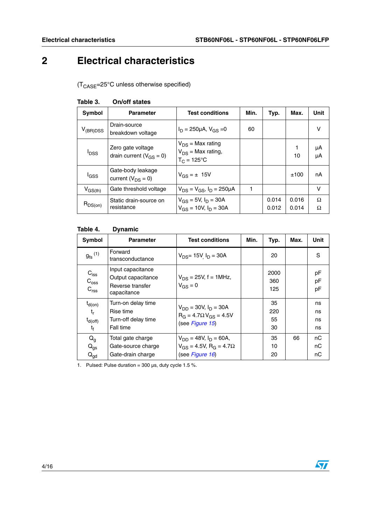# <span id="page-3-0"></span>**2 Electrical characteristics**

 $(T_{\text{CASE}} = 25^{\circ} \text{C}$  unless otherwise specified)

| <b>Symbol</b>    | <b>Parameter</b>                                    | <b>Test conditions</b>                                                  | Min. | Typ.           | Max.           | Unit     |
|------------------|-----------------------------------------------------|-------------------------------------------------------------------------|------|----------------|----------------|----------|
| $V_{(BR)DSS}$    | Drain-source<br>breakdown voltage                   | $I_D = 250 \mu A$ , $V_{GS} = 0$                                        | 60   |                |                | v        |
| l <sub>DSS</sub> | Zero gate voltage<br>drain current ( $V_{GS} = 0$ ) | $V_{DS}$ = Max rating<br>$V_{DS}$ = Max rating,<br>$T_C = 125^{\circ}C$ |      |                | 1<br>10        | μA<br>μA |
| l <sub>GSS</sub> | Gate-body leakage<br>current $(V_{DS} = 0)$         | $V_{GS} = \pm 15V$                                                      |      |                | ±100           | nA       |
| $V_{GS(th)}$     | Gate threshold voltage                              | $V_{DS} = V_{GS}$ , $I_D = 250 \mu A$                                   |      |                |                | v        |
| $R_{DS(on)}$     | Static drain-source on<br>resistance                | $V_{GS} = 5V$ , $I_D = 30A$<br>$V_{GS} = 10V$ , $I_D = 30A$             |      | 0.014<br>0.012 | 0.016<br>0.014 | Ω<br>Ω   |

#### **Table 3. On/off states**

### **Table 4. Dynamic**

| Symbol                                                                | <b>Parameter</b>                                                           | <b>Test conditions</b>                                                                               | Min. | Typ.                  | Max. | Unit                 |
|-----------------------------------------------------------------------|----------------------------------------------------------------------------|------------------------------------------------------------------------------------------------------|------|-----------------------|------|----------------------|
| $g_{\text{fs}}^{(1)}$                                                 | Forward<br>transconductance                                                | $V_{DS}$ = 15V $I_D$ = 30A                                                                           |      | 20                    |      | S                    |
| $C_{\text{iss}}$<br>$C_{\rm oss}$<br>$C_{\text{rss}}$                 | Input capacitance<br>Output capacitance<br>Reverse transfer<br>capacitance | $V_{DS}$ = 25V, f = 1MHz,<br>$V_{GS} = 0$                                                            |      | 2000<br>360<br>125    |      | pF<br>рF<br>рF       |
| $t_{d(on)}$<br>t,<br>$t_{\mathsf{d}(\mathsf{off})}$<br>t <sub>f</sub> | Turn-on delay time<br>Rise time<br>Turn-off delay time<br>Fall time        | $V_{DD} = 30V, I_D = 30A$<br>$R_G = 4.7 \Omega V_{GS} = 4.5 V$<br>(see Figure 15)                    |      | 35<br>220<br>55<br>30 |      | ns<br>ns<br>ns<br>ns |
| $Q_{q}$<br>$Q_{gs}$<br>$Q_{\text{gd}}$                                | Total gate charge<br>Gate-source charge<br>Gate-drain charge               | $V_{DD} = 48V$ , $I_D = 60A$ ,<br>$V_{GS} = 4.5V$ , R <sub>G</sub> = 4.7 $\Omega$<br>(see Figure 16) |      | 35<br>10<br>20        | 66   | пC<br>nС<br>nС       |

1. Pulsed: Pulse duration =  $300 \,\mu s$ , duty cycle 1.5 %.

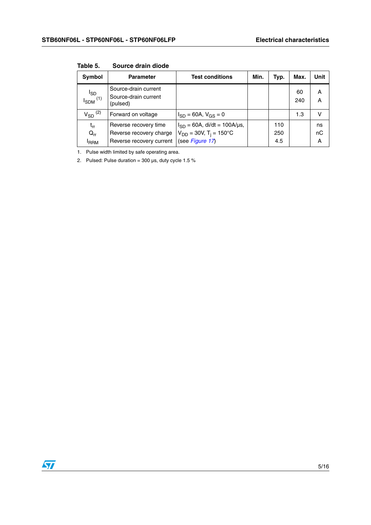| Symbol                                   | <b>Parameter</b>                                                             | <b>Test conditions</b>                                                                          | Min. | Typ.              | Max.      | Unit          |
|------------------------------------------|------------------------------------------------------------------------------|-------------------------------------------------------------------------------------------------|------|-------------------|-----------|---------------|
| $I_{SDM}^{I_{SD}}$                       | Source-drain current<br>Source-drain current<br>(pulsed)                     |                                                                                                 |      |                   | 60<br>240 | A<br>Α        |
| $V_{SD}$ <sup>(2)</sup>                  | Forward on voltage                                                           | $I_{SD} = 60A, V_{GS} = 0$                                                                      |      |                   | 1.3       | v             |
| $t_{rr}$<br>$Q_{rr}$<br><sup>I</sup> RRM | Reverse recovery time<br>Reverse recovery charge<br>Reverse recovery current | $I_{SD} = 60A$ , di/dt = 100A/µs,<br>$V_{DD} = 30V$ , T <sub>i</sub> = 150°C<br>(see Figure 17) |      | 110<br>250<br>4.5 |           | ns<br>nC<br>Α |

**Table 5. Source drain diode**

1. Pulse width limited by safe operating area.

2. Pulsed: Pulse duration =  $300 \,\mu s$ , duty cycle 1.5 %

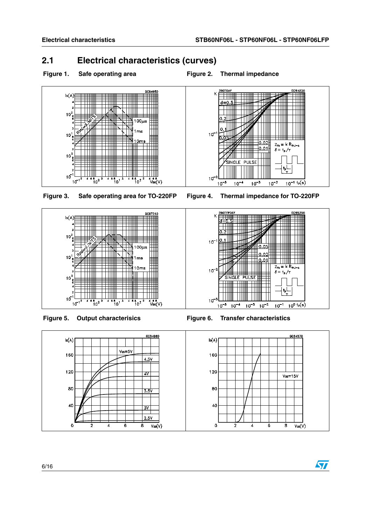## <span id="page-5-0"></span>**2.1 Electrical characteristics (curves)**





**Figure 3. Safe operating area for TO-220FP Figure 4. Thermal impedance for TO-220FP**







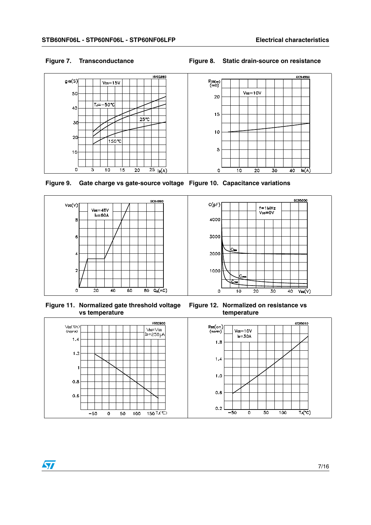#### **Figure 7. Transconductance Figure 8. Static drain-source on resistance**





**Figure 9. Gate charge vs gate-source voltage Figure 10. Capacitance variations**





**Figure 11. Normalized gate threshold voltage vs temperature**



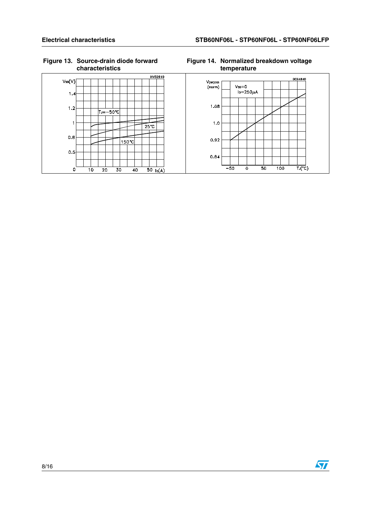$V_{SD}(V)$ 

 $1.4$ 

 $1.2$ 

 $\overline{1}$ 

 $0.8$ 

 $0.5$ 

 $\circ$ <sup>L</sup>

 $\frac{1}{10}$ 

 $\overline{20}$ 

#### **Figure 13. Source-drain diode forward characteristics**

 $|T=-50°C|$ 

150 °C

 $\overline{40}$ 

 $\overline{30}$ 

HV02910

 $25^\circ$ C

 $\overline{50}$   $I_0(A)$ 



 $\overleftarrow{\mathsf{T}_{\mathsf{J}}(\mathsf{C})}$ 

 $0.84$ 

 $-50$ 

ᅙ

 $\frac{1}{50}$ 

 $\overline{100}$ 

#### **Figure 14. Normalized breakdown voltage temperature**

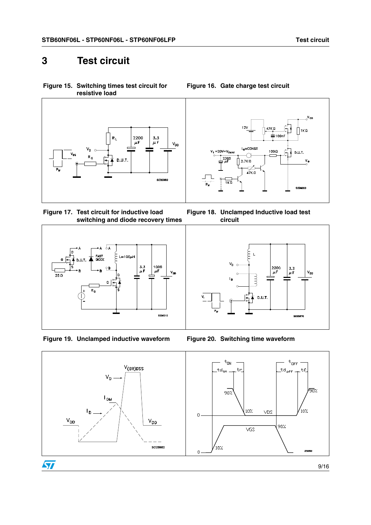## <span id="page-8-0"></span>**3 Test circuit**

<span id="page-8-1"></span>**Figure 15. Switching times test circuit for resistive load**



<span id="page-8-3"></span>**Figure 17. Test circuit for inductive load switching and diode recovery times**



**Figure 19. Unclamped inductive waveform Figure 20. Switching time waveform**



<span id="page-8-2"></span>**Figure 16. Gate charge test circuit**

**Figure 18. Unclamped Inductive load test circuit**



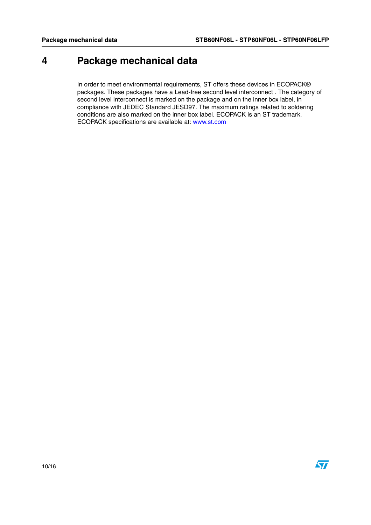# <span id="page-9-0"></span>**4 Package mechanical data**

In order to meet environmental requirements, ST offers these devices in ECOPACK® packages. These packages have a Lead-free second level interconnect . The category of second level interconnect is marked on the package and on the inner box label, in compliance with JEDEC Standard JESD97. The maximum ratings related to soldering conditions are also marked on the inner box label. ECOPACK is an ST trademark. ECOPACK specifications are available at: www.st.com

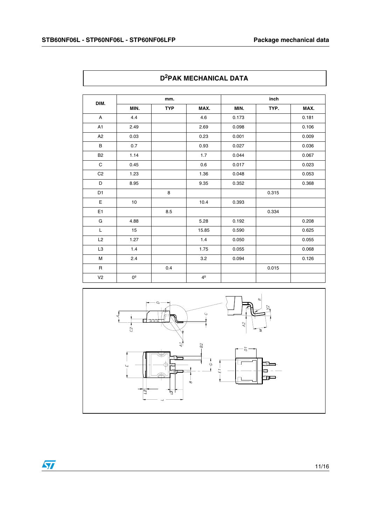$\mathbf l$ 

|                |             |            | LAN MEVIL MUCHE DATA |       |       |       |
|----------------|-------------|------------|----------------------|-------|-------|-------|
|                |             | mm.        |                      |       | inch  |       |
| DIM.           | MIN.        | <b>TYP</b> | MAX.                 | MIN.  | TYP.  | MAX.  |
| A              | 4.4         |            | 4.6                  | 0.173 |       | 0.181 |
| A1             | 2.49        |            | 2.69                 | 0.098 |       | 0.106 |
| A <sub>2</sub> | 0.03        |            | 0.23                 | 0.001 |       | 0.009 |
| B              | 0.7         |            | 0.93                 | 0.027 |       | 0.036 |
| <b>B2</b>      | 1.14        |            | 1.7                  | 0.044 |       | 0.067 |
| $\mathsf C$    | 0.45        |            | 0.6                  | 0.017 |       | 0.023 |
| C <sub>2</sub> | 1.23        |            | 1.36                 | 0.048 |       | 0.053 |
| D              | 8.95        |            | 9.35                 | 0.352 |       | 0.368 |
| D <sub>1</sub> |             | 8          |                      |       | 0.315 |       |
| E              | $10$        |            | 10.4                 | 0.393 |       |       |
| E <sub>1</sub> |             | 8.5        |                      |       | 0.334 |       |
| G              | 4.88        |            | 5.28                 | 0.192 |       | 0.208 |
| L              | 15          |            | 15.85                | 0.590 |       | 0.625 |
| L2             | 1.27        |            | 1.4                  | 0.050 |       | 0.055 |
| L <sub>3</sub> | 1.4         |            | 1.75                 | 0.055 |       | 0.068 |
| M              | 2.4         |            | 3.2                  | 0.094 |       | 0.126 |
| $\mathsf R$    |             | 0.4        |                      |       | 0.015 |       |
| V <sub>2</sub> | $0^{\circ}$ |            | 4 <sup>°</sup>       |       |       |       |





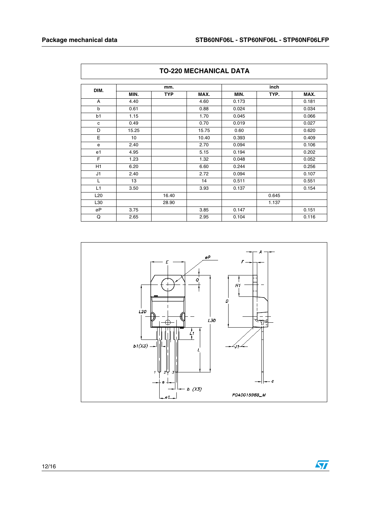$\sqrt{2}$ 

 $\mathsf{r}$ 

| <b>TO-220 MECHANICAL DATA</b> |       |            |       |       |       |       |
|-------------------------------|-------|------------|-------|-------|-------|-------|
| DIM.                          |       | mm.        |       |       | inch  |       |
|                               | MIN.  | <b>TYP</b> | MAX.  | MIN.  | TYP.  | MAX.  |
| A                             | 4.40  |            | 4.60  | 0.173 |       | 0.181 |
| b                             | 0.61  |            | 0.88  | 0.024 |       | 0.034 |
| b1                            | 1.15  |            | 1.70  | 0.045 |       | 0.066 |
| c                             | 0.49  |            | 0.70  | 0.019 |       | 0.027 |
| D                             | 15.25 |            | 15.75 | 0.60  |       | 0.620 |
| E                             | 10    |            | 10.40 | 0.393 |       | 0.409 |
| e                             | 2.40  |            | 2.70  | 0.094 |       | 0.106 |
| e1                            | 4.95  |            | 5.15  | 0.194 |       | 0.202 |
| F                             | 1.23  |            | 1.32  | 0.048 |       | 0.052 |
| H1                            | 6.20  |            | 6.60  | 0.244 |       | 0.256 |
| J1                            | 2.40  |            | 2.72  | 0.094 |       | 0.107 |
| L                             | 13    |            | 14    | 0.511 |       | 0.551 |
| L1                            | 3.50  |            | 3.93  | 0.137 |       | 0.154 |
| L <sub>20</sub>               |       | 16.40      |       |       | 0.645 |       |
| L30                           |       | 28.90      |       |       | 1.137 |       |
| øΡ                            | 3.75  |            | 3.85  | 0.147 |       | 0.151 |
| Q                             | 2.65  |            | 2.95  | 0.104 |       | 0.116 |

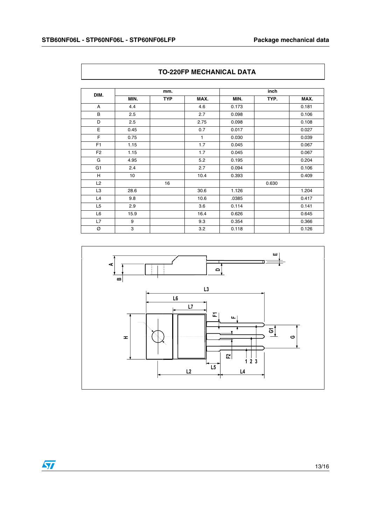| DIM.           |      | mm.        |      | inch  |       |       |
|----------------|------|------------|------|-------|-------|-------|
|                | MIN. | <b>TYP</b> | MAX. | MIN.  | TYP.  | MAX.  |
| A              | 4.4  |            | 4.6  | 0.173 |       | 0.181 |
| B              | 2.5  |            | 2.7  | 0.098 |       | 0.106 |
| D              | 2.5  |            | 2.75 | 0.098 |       | 0.108 |
| E              | 0.45 |            | 0.7  | 0.017 |       | 0.027 |
| F              | 0.75 |            | 1    | 0.030 |       | 0.039 |
| F <sub>1</sub> | 1.15 |            | 1.7  | 0.045 |       | 0.067 |
| F <sub>2</sub> | 1.15 |            | 1.7  | 0.045 |       | 0.067 |
| G              | 4.95 |            | 5.2  | 0.195 |       | 0.204 |
| G <sub>1</sub> | 2.4  |            | 2.7  | 0.094 |       | 0.106 |
| H              | 10   |            | 10.4 | 0.393 |       | 0.409 |
| L2             |      | 16         |      |       | 0.630 |       |
| L <sub>3</sub> | 28.6 |            | 30.6 | 1.126 |       | 1.204 |
| L4             | 9.8  |            | 10.6 | .0385 |       | 0.417 |
| L <sub>5</sub> | 2.9  |            | 3.6  | 0.114 |       | 0.141 |
| L <sub>6</sub> | 15.9 |            | 16.4 | 0.626 |       | 0.645 |
| L7             | 9    |            | 9.3  | 0.354 |       | 0.366 |
| Ø              | 3    |            | 3.2  | 0.118 |       | 0.126 |

## **TO-220FP MECHANICAL DATA**



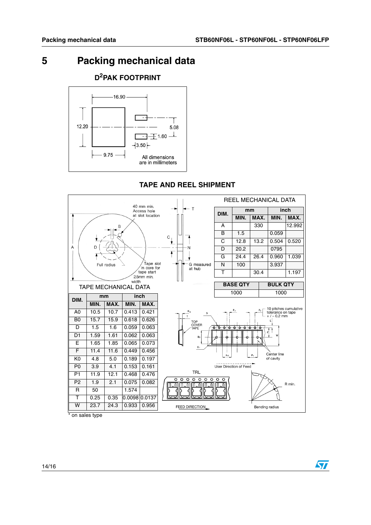57

# <span id="page-13-0"></span>**5 Packing mechanical data**



## **TAPE AND REEL SHIPMENT**



on sales type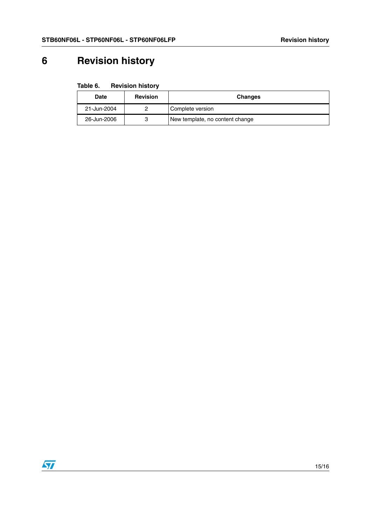# <span id="page-14-0"></span>**6 Revision history**

| Table 6. | <b>Revision history</b> |  |
|----------|-------------------------|--|
|----------|-------------------------|--|

| Date        | <b>Revision</b> | <b>Changes</b>                  |
|-------------|-----------------|---------------------------------|
| 21-Jun-2004 |                 | Complete version                |
| 26-Jun-2006 |                 | New template, no content change |